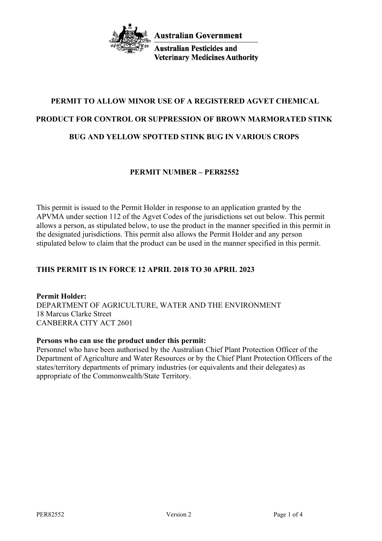

**Australian Pesticides and Veterinary Medicines Authority** 

# **PERMIT TO ALLOW MINOR USE OF A REGISTERED AGVET CHEMICAL PRODUCT FOR CONTROL OR SUPPRESSION OF BROWN MARMORATED STINK BUG AND YELLOW SPOTTED STINK BUG IN VARIOUS CROPS**

# **PERMIT NUMBER – PER82552**

This permit is issued to the Permit Holder in response to an application granted by the APVMA under section 112 of the Agvet Codes of the jurisdictions set out below. This permit allows a person, as stipulated below, to use the product in the manner specified in this permit in the designated jurisdictions. This permit also allows the Permit Holder and any person stipulated below to claim that the product can be used in the manner specified in this permit.

# **THIS PERMIT IS IN FORCE 12 APRIL 2018 TO 30 APRIL 2023**

**Permit Holder:** DEPARTMENT OF AGRICULTURE, WATER AND THE ENVIRONMENT 18 Marcus Clarke Street CANBERRA CITY ACT 2601

# **Persons who can use the product under this permit:**

Personnel who have been authorised by the Australian Chief Plant Protection Officer of the Department of Agriculture and Water Resources or by the Chief Plant Protection Officers of the states/territory departments of primary industries (or equivalents and their delegates) as appropriate of the Commonwealth/State Territory.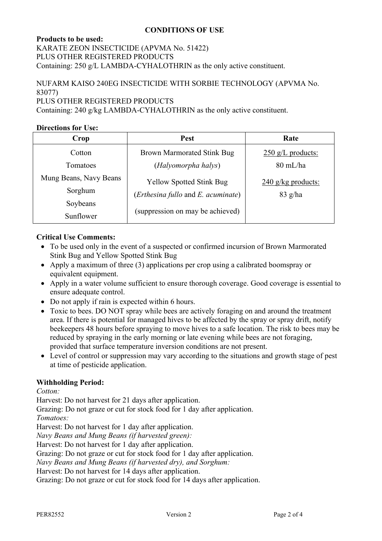# **CONDITIONS OF USE**

## **Products to be used:**

KARATE ZEON INSECTICIDE (APVMA No. 51422) PLUS OTHER REGISTERED PRODUCTS Containing: 250 g/L LAMBDA-CYHALOTHRIN as the only active constituent.

# NUFARM KAISO 240EG INSECTICIDE WITH SORBIE TECHNOLOGY (APVMA No. 83077) PLUS OTHER REGISTERED PRODUCTS

Containing: 240 g/kg LAMBDA-CYHALOTHRIN as the only active constituent.

## **Directions for Use:**

| Crop                   | <b>Pest</b>                        | Rate                 |
|------------------------|------------------------------------|----------------------|
| Cotton                 | <b>Brown Marmorated Stink Bug</b>  | $250$ g/L products:  |
| Tomatoes               | (Halyomorpha halys)                | $80 \text{ mL/ha}$   |
| Mung Beans, Navy Beans | <b>Yellow Spotted Stink Bug</b>    | $240$ g/kg products: |
| Sorghum                | (Erthesina fullo and E. acuminate) | $83$ g/ha            |
| Soybeans               |                                    |                      |
| Sunflower              | (suppression on may be achieved)   |                      |

## **Critical Use Comments:**

- To be used only in the event of a suspected or confirmed incursion of Brown Marmorated Stink Bug and Yellow Spotted Stink Bug
- Apply a maximum of three (3) applications per crop using a calibrated boomspray or equivalent equipment.
- Apply in a water volume sufficient to ensure thorough coverage. Good coverage is essential to ensure adequate control.
- Do not apply if rain is expected within 6 hours.
- Toxic to bees. DO NOT spray while bees are actively foraging on and around the treatment area. If there is potential for managed hives to be affected by the spray or spray drift, notify beekeepers 48 hours before spraying to move hives to a safe location. The risk to bees may be reduced by spraying in the early morning or late evening while bees are not foraging, provided that surface temperature inversion conditions are not present.
- Level of control or suppression may vary according to the situations and growth stage of pest at time of pesticide application.

# **Withholding Period:**

*Cotton:*

Harvest: Do not harvest for 21 days after application.

Grazing: Do not graze or cut for stock food for 1 day after application.

*Tomatoes:*

Harvest: Do not harvest for 1 day after application.

*Navy Beans and Mung Beans (if harvested green):*

Harvest: Do not harvest for 1 day after application.

Grazing: Do not graze or cut for stock food for 1 day after application.

*Navy Beans and Mung Beans (if harvested dry), and Sorghum:*

Harvest: Do not harvest for 14 days after application.

Grazing: Do not graze or cut for stock food for 14 days after application.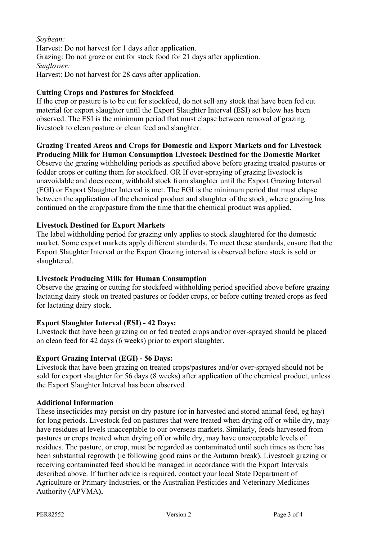## *Soybean:* Harvest: Do not harvest for 1 days after application. Grazing: Do not graze or cut for stock food for 21 days after application. *Sunflower:* Harvest: Do not harvest for 28 days after application.

# **Cutting Crops and Pastures for Stockfeed**

If the crop or pasture is to be cut for stockfeed, do not sell any stock that have been fed cut material for export slaughter until the Export Slaughter Interval (ESI) set below has been observed. The ESI is the minimum period that must elapse between removal of grazing livestock to clean pasture or clean feed and slaughter.

# **Grazing Treated Areas and Crops for Domestic and Export Markets and for Livestock**

**Producing Milk for Human Consumption Livestock Destined for the Domestic Market** Observe the grazing withholding periods as specified above before grazing treated pastures or fodder crops or cutting them for stockfeed. OR If over-spraying of grazing livestock is unavoidable and does occur, withhold stock from slaughter until the Export Grazing Interval (EGI) or Export Slaughter Interval is met. The EGI is the minimum period that must elapse between the application of the chemical product and slaughter of the stock, where grazing has continued on the crop/pasture from the time that the chemical product was applied.

## **Livestock Destined for Export Markets**

The label withholding period for grazing only applies to stock slaughtered for the domestic market. Some export markets apply different standards. To meet these standards, ensure that the Export Slaughter Interval or the Export Grazing interval is observed before stock is sold or slaughtered.

# **Livestock Producing Milk for Human Consumption**

Observe the grazing or cutting for stockfeed withholding period specified above before grazing lactating dairy stock on treated pastures or fodder crops, or before cutting treated crops as feed for lactating dairy stock.

# **Export Slaughter Interval (ESI) - 42 Days:**

Livestock that have been grazing on or fed treated crops and/or over-sprayed should be placed on clean feed for 42 days (6 weeks) prior to export slaughter.

#### **Export Grazing Interval (EGI) - 56 Days:**

Livestock that have been grazing on treated crops/pastures and/or over-sprayed should not be sold for export slaughter for 56 days (8 weeks) after application of the chemical product, unless the Export Slaughter Interval has been observed.

#### **Additional Information**

These insecticides may persist on dry pasture (or in harvested and stored animal feed, eg hay) for long periods. Livestock fed on pastures that were treated when drying off or while dry, may have residues at levels unacceptable to our overseas markets. Similarly, feeds harvested from pastures or crops treated when drying off or while dry, may have unacceptable levels of residues. The pasture, or crop, must be regarded as contaminated until such times as there has been substantial regrowth (ie following good rains or the Autumn break). Livestock grazing or receiving contaminated feed should be managed in accordance with the Export Intervals described above. If further advice is required, contact your local State Department of Agriculture or Primary Industries, or the Australian Pesticides and Veterinary Medicines Authority (APVMA**).**